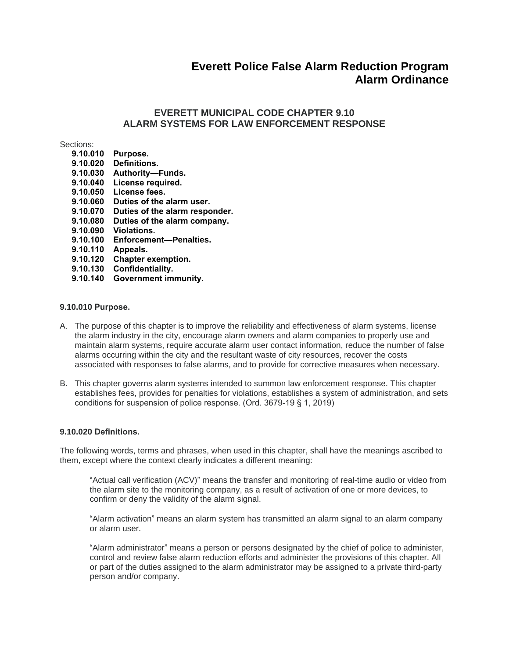# **Everett Police False Alarm Reduction Program Alarm Ordinance**

# **EVERETT MUNICIPAL CODE CHAPTER 9.10 ALARM SYSTEMS FOR LAW ENFORCEMENT RESPONSE**

Sections:

| ,,,,,,,,                |                                |
|-------------------------|--------------------------------|
| 9.10.010                | Purpose.                       |
| 9.10.020                | Definitions.                   |
| 9.10.030                | <b>Authority—Funds.</b>        |
| 9.10.040                | License required.              |
| 9.10.050                | License fees.                  |
| 9.10.060                | Duties of the alarm user.      |
| 9.10.070                | Duties of the alarm responder. |
| 9.10.080                | Duties of the alarm company.   |
| 9.10.090                | <b>Violations.</b>             |
| 9.10.100                | Enforcement-Penalties.         |
| 9.10.110                | Appeals.                       |
| 9.10.120                | <b>Chapter exemption.</b>      |
| 9.10.130                | Confidentiality.               |
| . <i>.</i> . <i>. .</i> |                                |

**[9.10.140 Government immunity.](https://www.codepublishing.com/WA/Everett/#!/Everett09/Everett0910.html#9.10.140)**

### **9.10.010 Purpose.**

- A. The purpose of this chapter is to improve the reliability and effectiveness of alarm systems, license the alarm industry in the city, encourage alarm owners and alarm companies to properly use and maintain alarm systems, require accurate alarm user contact information, reduce the number of false alarms occurring within the city and the resultant waste of city resources, recover the costs associated with responses to false alarms, and to provide for corrective measures when necessary.
- B. This chapter governs alarm systems intended to summon law enforcement response. This chapter establishes fees, provides for penalties for violations, establishes a system of administration, and sets conditions for suspension of police response. (Ord. 3679-19 § 1, 2019)

#### **9.10.020 Definitions.**

The following words, terms and phrases, when used in this chapter, shall have the meanings ascribed to them, except where the context clearly indicates a different meaning:

"Actual call verification (ACV)" means the transfer and monitoring of real-time audio or video from the alarm site to the monitoring company, as a result of activation of one or more devices, to confirm or deny the validity of the alarm signal.

"Alarm activation" means an alarm system has transmitted an alarm signal to an alarm company or alarm user.

"Alarm administrator" means a person or persons designated by the chief of police to administer, control and review false alarm reduction efforts and administer the provisions of this chapter. All or part of the duties assigned to the alarm administrator may be assigned to a private third-party person and/or company.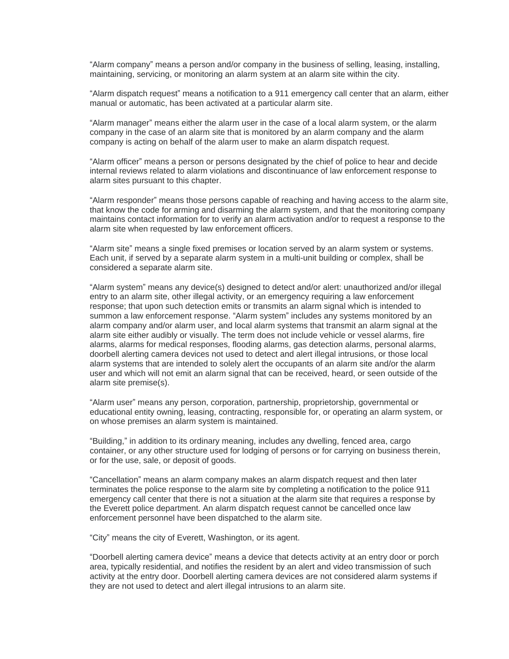"Alarm company" means a person and/or company in the business of selling, leasing, installing, maintaining, servicing, or monitoring an alarm system at an alarm site within the city.

"Alarm dispatch request" means a notification to a 911 emergency call center that an alarm, either manual or automatic, has been activated at a particular alarm site.

"Alarm manager" means either the alarm user in the case of a local alarm system, or the alarm company in the case of an alarm site that is monitored by an alarm company and the alarm company is acting on behalf of the alarm user to make an alarm dispatch request.

"Alarm officer" means a person or persons designated by the chief of police to hear and decide internal reviews related to alarm violations and discontinuance of law enforcement response to alarm sites pursuant to this chapter.

"Alarm responder" means those persons capable of reaching and having access to the alarm site, that know the code for arming and disarming the alarm system, and that the monitoring company maintains contact information for to verify an alarm activation and/or to request a response to the alarm site when requested by law enforcement officers.

"Alarm site" means a single fixed premises or location served by an alarm system or systems. Each unit, if served by a separate alarm system in a multi-unit building or complex, shall be considered a separate alarm site.

"Alarm system" means any device(s) designed to detect and/or alert: unauthorized and/or illegal entry to an alarm site, other illegal activity, or an emergency requiring a law enforcement response; that upon such detection emits or transmits an alarm signal which is intended to summon a law enforcement response. "Alarm system" includes any systems monitored by an alarm company and/or alarm user, and local alarm systems that transmit an alarm signal at the alarm site either audibly or visually. The term does not include vehicle or vessel alarms, fire alarms, alarms for medical responses, flooding alarms, gas detection alarms, personal alarms, doorbell alerting camera devices not used to detect and alert illegal intrusions, or those local alarm systems that are intended to solely alert the occupants of an alarm site and/or the alarm user and which will not emit an alarm signal that can be received, heard, or seen outside of the alarm site premise(s).

"Alarm user" means any person, corporation, partnership, proprietorship, governmental or educational entity owning, leasing, contracting, responsible for, or operating an alarm system, or on whose premises an alarm system is maintained.

"Building," in addition to its ordinary meaning, includes any dwelling, fenced area, cargo container, or any other structure used for lodging of persons or for carrying on business therein, or for the use, sale, or deposit of goods.

"Cancellation" means an alarm company makes an alarm dispatch request and then later terminates the police response to the alarm site by completing a notification to the police 911 emergency call center that there is not a situation at the alarm site that requires a response by the Everett police department. An alarm dispatch request cannot be cancelled once law enforcement personnel have been dispatched to the alarm site.

"City" means the city of Everett, Washington, or its agent.

"Doorbell alerting camera device" means a device that detects activity at an entry door or porch area, typically residential, and notifies the resident by an alert and video transmission of such activity at the entry door. Doorbell alerting camera devices are not considered alarm systems if they are not used to detect and alert illegal intrusions to an alarm site.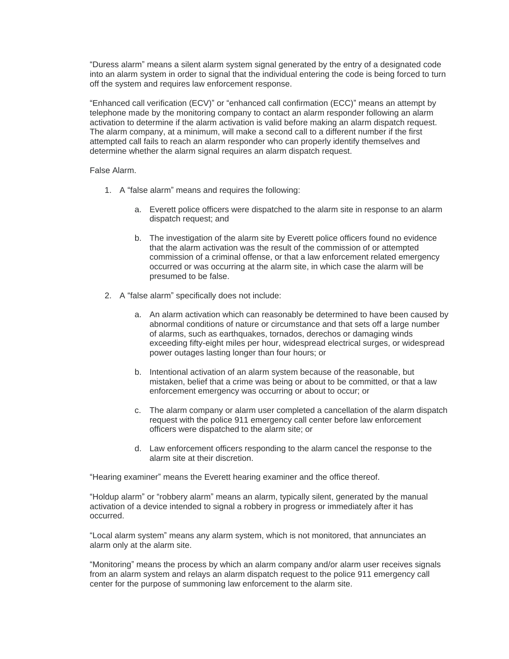"Duress alarm" means a silent alarm system signal generated by the entry of a designated code into an alarm system in order to signal that the individual entering the code is being forced to turn off the system and requires law enforcement response.

"Enhanced call verification (ECV)" or "enhanced call confirmation (ECC)" means an attempt by telephone made by the monitoring company to contact an alarm responder following an alarm activation to determine if the alarm activation is valid before making an alarm dispatch request. The alarm company, at a minimum, will make a second call to a different number if the first attempted call fails to reach an alarm responder who can properly identify themselves and determine whether the alarm signal requires an alarm dispatch request.

# False Alarm.

- 1. A "false alarm" means and requires the following:
	- a. Everett police officers were dispatched to the alarm site in response to an alarm dispatch request; and
	- b. The investigation of the alarm site by Everett police officers found no evidence that the alarm activation was the result of the commission of or attempted commission of a criminal offense, or that a law enforcement related emergency occurred or was occurring at the alarm site, in which case the alarm will be presumed to be false.
- 2. A "false alarm" specifically does not include:
	- a. An alarm activation which can reasonably be determined to have been caused by abnormal conditions of nature or circumstance and that sets off a large number of alarms, such as earthquakes, tornados, derechos or damaging winds exceeding fifty-eight miles per hour, widespread electrical surges, or widespread power outages lasting longer than four hours; or
	- b. Intentional activation of an alarm system because of the reasonable, but mistaken, belief that a crime was being or about to be committed, or that a law enforcement emergency was occurring or about to occur; or
	- c. The alarm company or alarm user completed a cancellation of the alarm dispatch request with the police 911 emergency call center before law enforcement officers were dispatched to the alarm site; or
	- d. Law enforcement officers responding to the alarm cancel the response to the alarm site at their discretion.

"Hearing examiner" means the Everett hearing examiner and the office thereof.

"Holdup alarm" or "robbery alarm" means an alarm, typically silent, generated by the manual activation of a device intended to signal a robbery in progress or immediately after it has occurred.

"Local alarm system" means any alarm system, which is not monitored, that annunciates an alarm only at the alarm site.

"Monitoring" means the process by which an alarm company and/or alarm user receives signals from an alarm system and relays an alarm dispatch request to the police 911 emergency call center for the purpose of summoning law enforcement to the alarm site.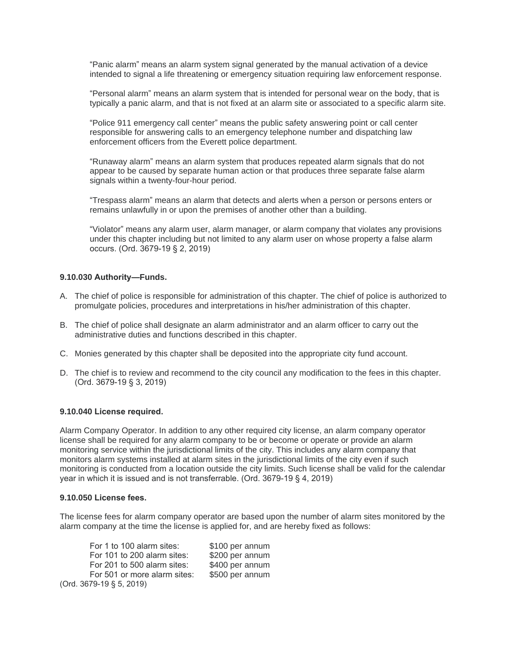"Panic alarm" means an alarm system signal generated by the manual activation of a device intended to signal a life threatening or emergency situation requiring law enforcement response.

"Personal alarm" means an alarm system that is intended for personal wear on the body, that is typically a panic alarm, and that is not fixed at an alarm site or associated to a specific alarm site.

"Police 911 emergency call center" means the public safety answering point or call center responsible for answering calls to an emergency telephone number and dispatching law enforcement officers from the Everett police department.

"Runaway alarm" means an alarm system that produces repeated alarm signals that do not appear to be caused by separate human action or that produces three separate false alarm signals within a twenty-four-hour period.

"Trespass alarm" means an alarm that detects and alerts when a person or persons enters or remains unlawfully in or upon the premises of another other than a building.

"Violator" means any alarm user, alarm manager, or alarm company that violates any provisions under this chapter including but not limited to any alarm user on whose property a false alarm occurs. (Ord. 3679-19 § 2, 2019)

### **9.10.030 Authority—Funds.**

- A. The chief of police is responsible for administration of this chapter. The chief of police is authorized to promulgate policies, procedures and interpretations in his/her administration of this chapter.
- B. The chief of police shall designate an alarm administrator and an alarm officer to carry out the administrative duties and functions described in this chapter.
- C. Monies generated by this chapter shall be deposited into the appropriate city fund account.
- D. The chief is to review and recommend to the city council any modification to the fees in this chapter. (Ord. 3679-19 § 3, 2019)

#### **9.10.040 License required.**

Alarm Company Operator. In addition to any other required city license, an alarm company operator license shall be required for any alarm company to be or become or operate or provide an alarm monitoring service within the jurisdictional limits of the city. This includes any alarm company that monitors alarm systems installed at alarm sites in the jurisdictional limits of the city even if such monitoring is conducted from a location outside the city limits. Such license shall be valid for the calendar year in which it is issued and is not transferrable. (Ord. 3679-19 § 4, 2019)

#### **9.10.050 License fees.**

The license fees for alarm company operator are based upon the number of alarm sites monitored by the alarm company at the time the license is applied for, and are hereby fixed as follows:

| For 1 to 100 alarm sites:    | \$100 per annum |
|------------------------------|-----------------|
| For 101 to 200 alarm sites:  | \$200 per annum |
| For 201 to 500 alarm sites:  | \$400 per annum |
| For 501 or more alarm sites: | \$500 per annum |
| (Ord. 3679-19 § 5, 2019)     |                 |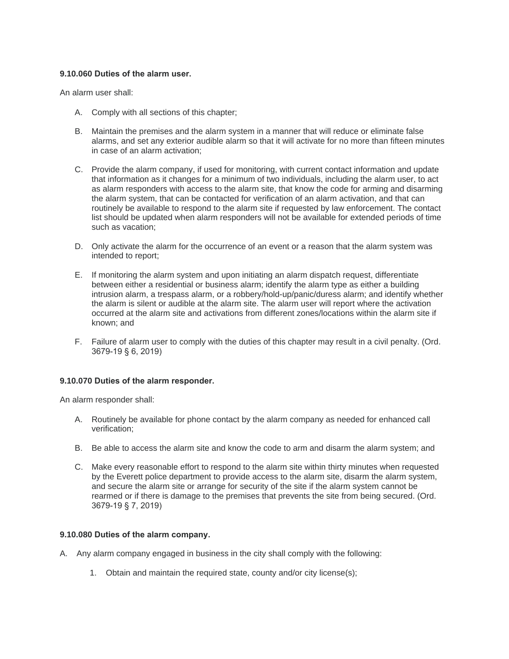## **9.10.060 Duties of the alarm user.**

An alarm user shall:

- A. Comply with all sections of this chapter;
- B. Maintain the premises and the alarm system in a manner that will reduce or eliminate false alarms, and set any exterior audible alarm so that it will activate for no more than fifteen minutes in case of an alarm activation;
- C. Provide the alarm company, if used for monitoring, with current contact information and update that information as it changes for a minimum of two individuals, including the alarm user, to act as alarm responders with access to the alarm site, that know the code for arming and disarming the alarm system, that can be contacted for verification of an alarm activation, and that can routinely be available to respond to the alarm site if requested by law enforcement. The contact list should be updated when alarm responders will not be available for extended periods of time such as vacation;
- D. Only activate the alarm for the occurrence of an event or a reason that the alarm system was intended to report;
- E. If monitoring the alarm system and upon initiating an alarm dispatch request, differentiate between either a residential or business alarm; identify the alarm type as either a building intrusion alarm, a trespass alarm, or a robbery/hold-up/panic/duress alarm; and identify whether the alarm is silent or audible at the alarm site. The alarm user will report where the activation occurred at the alarm site and activations from different zones/locations within the alarm site if known; and
- F. Failure of alarm user to comply with the duties of this chapter may result in a civil penalty. (Ord. 3679-19 § 6, 2019)

# **9.10.070 Duties of the alarm responder.**

An alarm responder shall:

- A. Routinely be available for phone contact by the alarm company as needed for enhanced call verification;
- B. Be able to access the alarm site and know the code to arm and disarm the alarm system; and
- C. Make every reasonable effort to respond to the alarm site within thirty minutes when requested by the Everett police department to provide access to the alarm site, disarm the alarm system, and secure the alarm site or arrange for security of the site if the alarm system cannot be rearmed or if there is damage to the premises that prevents the site from being secured. (Ord. 3679-19 § 7, 2019)

### **9.10.080 Duties of the alarm company.**

- A. Any alarm company engaged in business in the city shall comply with the following:
	- 1. Obtain and maintain the required state, county and/or city license(s);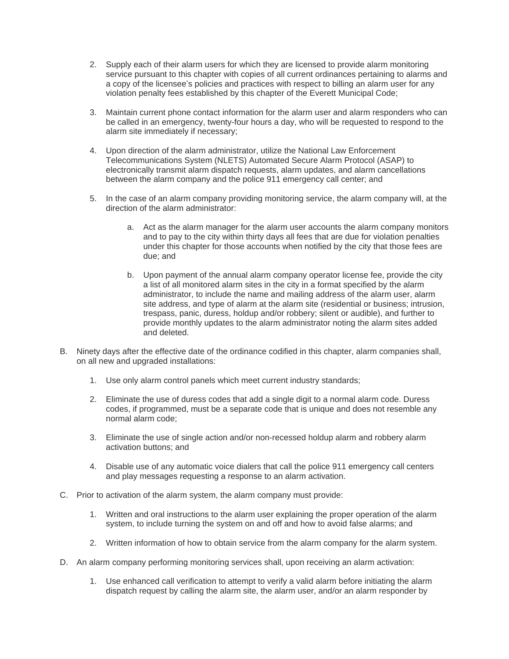- 2. Supply each of their alarm users for which they are licensed to provide alarm monitoring service pursuant to this chapter with copies of all current ordinances pertaining to alarms and a copy of the licensee's policies and practices with respect to billing an alarm user for any violation penalty fees established by this chapter of the Everett Municipal Code;
- 3. Maintain current phone contact information for the alarm user and alarm responders who can be called in an emergency, twenty-four hours a day, who will be requested to respond to the alarm site immediately if necessary;
- 4. Upon direction of the alarm administrator, utilize the National Law Enforcement Telecommunications System (NLETS) Automated Secure Alarm Protocol (ASAP) to electronically transmit alarm dispatch requests, alarm updates, and alarm cancellations between the alarm company and the police 911 emergency call center; and
- 5. In the case of an alarm company providing monitoring service, the alarm company will, at the direction of the alarm administrator:
	- a. Act as the alarm manager for the alarm user accounts the alarm company monitors and to pay to the city within thirty days all fees that are due for violation penalties under this chapter for those accounts when notified by the city that those fees are due; and
	- b. Upon payment of the annual alarm company operator license fee, provide the city a list of all monitored alarm sites in the city in a format specified by the alarm administrator, to include the name and mailing address of the alarm user, alarm site address, and type of alarm at the alarm site (residential or business; intrusion, trespass, panic, duress, holdup and/or robbery; silent or audible), and further to provide monthly updates to the alarm administrator noting the alarm sites added and deleted.
- B. Ninety days after the effective date of the ordinance codified in this chapter, alarm companies shall, on all new and upgraded installations:
	- 1. Use only alarm control panels which meet current industry standards;
	- 2. Eliminate the use of duress codes that add a single digit to a normal alarm code. Duress codes, if programmed, must be a separate code that is unique and does not resemble any normal alarm code;
	- 3. Eliminate the use of single action and/or non-recessed holdup alarm and robbery alarm activation buttons; and
	- 4. Disable use of any automatic voice dialers that call the police 911 emergency call centers and play messages requesting a response to an alarm activation.
- C. Prior to activation of the alarm system, the alarm company must provide:
	- 1. Written and oral instructions to the alarm user explaining the proper operation of the alarm system, to include turning the system on and off and how to avoid false alarms; and
	- 2. Written information of how to obtain service from the alarm company for the alarm system.
- D. An alarm company performing monitoring services shall, upon receiving an alarm activation:
	- 1. Use enhanced call verification to attempt to verify a valid alarm before initiating the alarm dispatch request by calling the alarm site, the alarm user, and/or an alarm responder by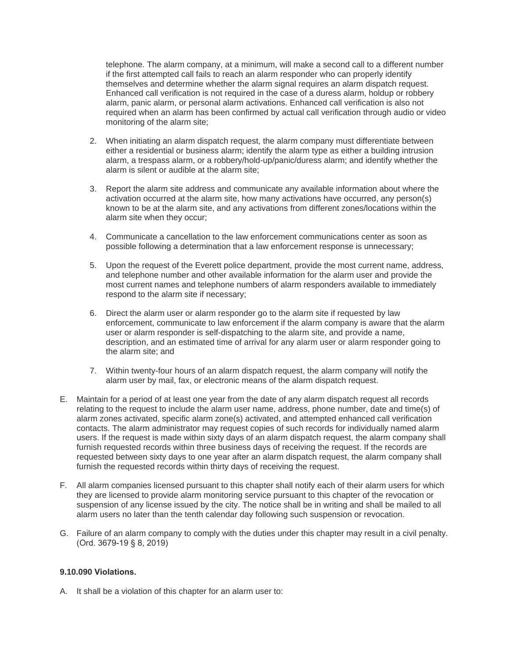telephone. The alarm company, at a minimum, will make a second call to a different number if the first attempted call fails to reach an alarm responder who can properly identify themselves and determine whether the alarm signal requires an alarm dispatch request. Enhanced call verification is not required in the case of a duress alarm, holdup or robbery alarm, panic alarm, or personal alarm activations. Enhanced call verification is also not required when an alarm has been confirmed by actual call verification through audio or video monitoring of the alarm site;

- 2. When initiating an alarm dispatch request, the alarm company must differentiate between either a residential or business alarm; identify the alarm type as either a building intrusion alarm, a trespass alarm, or a robbery/hold-up/panic/duress alarm; and identify whether the alarm is silent or audible at the alarm site;
- 3. Report the alarm site address and communicate any available information about where the activation occurred at the alarm site, how many activations have occurred, any person(s) known to be at the alarm site, and any activations from different zones/locations within the alarm site when they occur;
- 4. Communicate a cancellation to the law enforcement communications center as soon as possible following a determination that a law enforcement response is unnecessary;
- 5. Upon the request of the Everett police department, provide the most current name, address, and telephone number and other available information for the alarm user and provide the most current names and telephone numbers of alarm responders available to immediately respond to the alarm site if necessary;
- 6. Direct the alarm user or alarm responder go to the alarm site if requested by law enforcement, communicate to law enforcement if the alarm company is aware that the alarm user or alarm responder is self-dispatching to the alarm site, and provide a name, description, and an estimated time of arrival for any alarm user or alarm responder going to the alarm site; and
- 7. Within twenty-four hours of an alarm dispatch request, the alarm company will notify the alarm user by mail, fax, or electronic means of the alarm dispatch request.
- E. Maintain for a period of at least one year from the date of any alarm dispatch request all records relating to the request to include the alarm user name, address, phone number, date and time(s) of alarm zones activated, specific alarm zone(s) activated, and attempted enhanced call verification contacts. The alarm administrator may request copies of such records for individually named alarm users. If the request is made within sixty days of an alarm dispatch request, the alarm company shall furnish requested records within three business days of receiving the request. If the records are requested between sixty days to one year after an alarm dispatch request, the alarm company shall furnish the requested records within thirty days of receiving the request.
- F. All alarm companies licensed pursuant to this chapter shall notify each of their alarm users for which they are licensed to provide alarm monitoring service pursuant to this chapter of the revocation or suspension of any license issued by the city. The notice shall be in writing and shall be mailed to all alarm users no later than the tenth calendar day following such suspension or revocation.
- G. Failure of an alarm company to comply with the duties under this chapter may result in a civil penalty. (Ord. 3679-19 § 8, 2019)

# **9.10.090 Violations.**

A. It shall be a violation of this chapter for an alarm user to: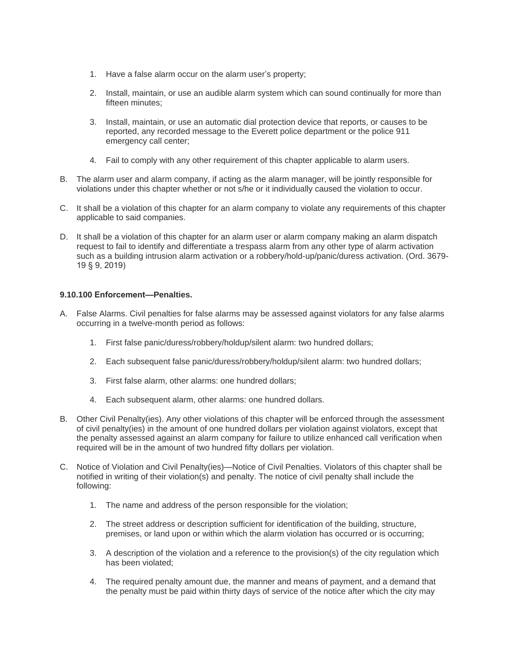- 1. Have a false alarm occur on the alarm user's property;
- 2. Install, maintain, or use an audible alarm system which can sound continually for more than fifteen minutes;
- 3. Install, maintain, or use an automatic dial protection device that reports, or causes to be reported, any recorded message to the Everett police department or the police 911 emergency call center;
- 4. Fail to comply with any other requirement of this chapter applicable to alarm users.
- B. The alarm user and alarm company, if acting as the alarm manager, will be jointly responsible for violations under this chapter whether or not s/he or it individually caused the violation to occur.
- C. It shall be a violation of this chapter for an alarm company to violate any requirements of this chapter applicable to said companies.
- D. It shall be a violation of this chapter for an alarm user or alarm company making an alarm dispatch request to fail to identify and differentiate a trespass alarm from any other type of alarm activation such as a building intrusion alarm activation or a robbery/hold-up/panic/duress activation. (Ord. 3679- 19 § 9, 2019)

# **9.10.100 Enforcement—Penalties.**

- A. False Alarms. Civil penalties for false alarms may be assessed against violators for any false alarms occurring in a twelve-month period as follows:
	- 1. First false panic/duress/robbery/holdup/silent alarm: two hundred dollars;
	- 2. Each subsequent false panic/duress/robbery/holdup/silent alarm: two hundred dollars;
	- 3. First false alarm, other alarms: one hundred dollars;
	- 4. Each subsequent alarm, other alarms: one hundred dollars.
- B. Other Civil Penalty(ies). Any other violations of this chapter will be enforced through the assessment of civil penalty(ies) in the amount of one hundred dollars per violation against violators, except that the penalty assessed against an alarm company for failure to utilize enhanced call verification when required will be in the amount of two hundred fifty dollars per violation.
- C. Notice of Violation and Civil Penalty(ies)—Notice of Civil Penalties. Violators of this chapter shall be notified in writing of their violation(s) and penalty. The notice of civil penalty shall include the following:
	- 1. The name and address of the person responsible for the violation;
	- 2. The street address or description sufficient for identification of the building, structure, premises, or land upon or within which the alarm violation has occurred or is occurring;
	- 3. A description of the violation and a reference to the provision(s) of the city regulation which has been violated;
	- 4. The required penalty amount due, the manner and means of payment, and a demand that the penalty must be paid within thirty days of service of the notice after which the city may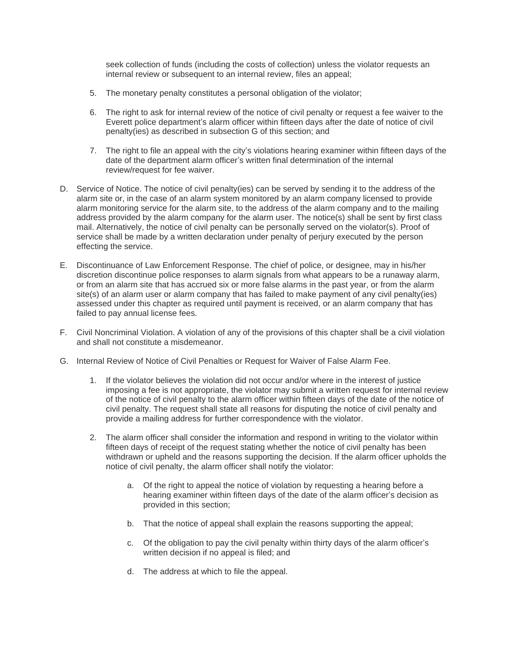seek collection of funds (including the costs of collection) unless the violator requests an internal review or subsequent to an internal review, files an appeal;

- 5. The monetary penalty constitutes a personal obligation of the violator;
- 6. The right to ask for internal review of the notice of civil penalty or request a fee waiver to the Everett police department's alarm officer within fifteen days after the date of notice of civil penalty(ies) as described in subsection G of this section; and
- 7. The right to file an appeal with the city's violations hearing examiner within fifteen days of the date of the department alarm officer's written final determination of the internal review/request for fee waiver.
- D. Service of Notice. The notice of civil penalty(ies) can be served by sending it to the address of the alarm site or, in the case of an alarm system monitored by an alarm company licensed to provide alarm monitoring service for the alarm site, to the address of the alarm company and to the mailing address provided by the alarm company for the alarm user. The notice(s) shall be sent by first class mail. Alternatively, the notice of civil penalty can be personally served on the violator(s). Proof of service shall be made by a written declaration under penalty of perjury executed by the person effecting the service.
- E. Discontinuance of Law Enforcement Response. The chief of police, or designee, may in his/her discretion discontinue police responses to alarm signals from what appears to be a runaway alarm, or from an alarm site that has accrued six or more false alarms in the past year, or from the alarm site(s) of an alarm user or alarm company that has failed to make payment of any civil penalty(ies) assessed under this chapter as required until payment is received, or an alarm company that has failed to pay annual license fees.
- F. Civil Noncriminal Violation. A violation of any of the provisions of this chapter shall be a civil violation and shall not constitute a misdemeanor.
- G. Internal Review of Notice of Civil Penalties or Request for Waiver of False Alarm Fee.
	- 1. If the violator believes the violation did not occur and/or where in the interest of justice imposing a fee is not appropriate, the violator may submit a written request for internal review of the notice of civil penalty to the alarm officer within fifteen days of the date of the notice of civil penalty. The request shall state all reasons for disputing the notice of civil penalty and provide a mailing address for further correspondence with the violator.
	- 2. The alarm officer shall consider the information and respond in writing to the violator within fifteen days of receipt of the request stating whether the notice of civil penalty has been withdrawn or upheld and the reasons supporting the decision. If the alarm officer upholds the notice of civil penalty, the alarm officer shall notify the violator:
		- a. Of the right to appeal the notice of violation by requesting a hearing before a hearing examiner within fifteen days of the date of the alarm officer's decision as provided in this section;
		- b. That the notice of appeal shall explain the reasons supporting the appeal;
		- c. Of the obligation to pay the civil penalty within thirty days of the alarm officer's written decision if no appeal is filed; and
		- d. The address at which to file the appeal.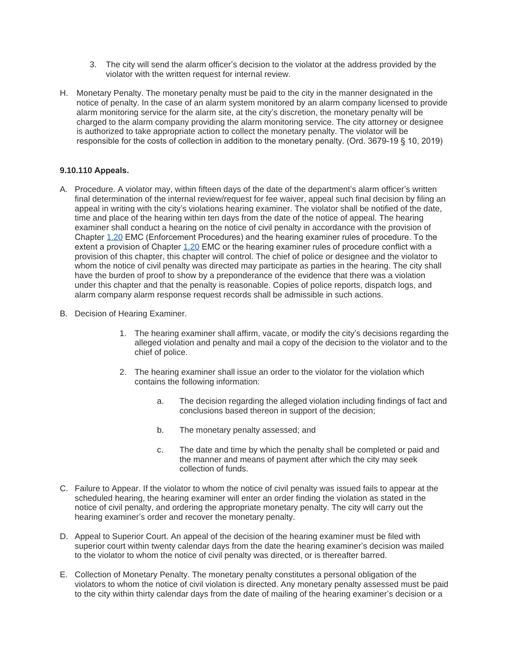- 3. The city will send the alarm officer's decision to the violator at the address provided by the violator with the written request for internal review.
- H. Monetary Penalty. The monetary penalty must be paid to the city in the manner designated in the notice of penalty. In the case of an alarm system monitored by an alarm company licensed to provide alarm monitoring service for the alarm site, at the city's discretion, the monetary penalty will be charged to the alarm company providing the alarm monitoring service. The city attorney or designee is authorized to take appropriate action to collect the monetary penalty. The violator will be responsible for the costs of collection in addition to the monetary penalty. (Ord. 3679-19 § 10, 2019)

# **9.10.110 Appeals.**

- A. Procedure. A violator may, within fifteen days of the date of the department's alarm officer's written final determination of the internal review/request for fee waiver, appeal such final decision by filing an appeal in writing with the city's violations hearing examiner. The violator shall be notified of the date, time and place of the hearing within ten days from the date of the notice of appeal. The hearing examiner shall conduct a hearing on the notice of civil penalty in accordance with the provision of Chapter [1.20](https://www.codepublishing.com/WA/Everett/#!/Everett01/Everett0120.html#1.20) EMC (Enforcement Procedures) and the hearing examiner rules of procedure. To the extent a provision of Chapter [1.20](https://www.codepublishing.com/WA/Everett/#!/Everett01/Everett0120.html#1.20) EMC or the hearing examiner rules of procedure conflict with a provision of this chapter, this chapter will control. The chief of police or designee and the violator to whom the notice of civil penalty was directed may participate as parties in the hearing. The city shall have the burden of proof to show by a preponderance of the evidence that there was a violation under this chapter and that the penalty is reasonable. Copies of police reports, dispatch logs, and alarm company alarm response request records shall be admissible in such actions.
- B. Decision of Hearing Examiner.
	- 1. The hearing examiner shall affirm, vacate, or modify the city's decisions regarding the alleged violation and penalty and mail a copy of the decision to the violator and to the chief of police.
	- 2. The hearing examiner shall issue an order to the violator for the violation which contains the following information:
		- a. The decision regarding the alleged violation including findings of fact and conclusions based thereon in support of the decision;
		- b. The monetary penalty assessed; and
		- c. The date and time by which the penalty shall be completed or paid and the manner and means of payment after which the city may seek collection of funds.
- C. Failure to Appear. If the violator to whom the notice of civil penalty was issued fails to appear at the scheduled hearing, the hearing examiner will enter an order finding the violation as stated in the notice of civil penalty, and ordering the appropriate monetary penalty. The city will carry out the hearing examiner's order and recover the monetary penalty.
- D. Appeal to Superior Court. An appeal of the decision of the hearing examiner must be filed with superior court within twenty calendar days from the date the hearing examiner's decision was mailed to the violator to whom the notice of civil penalty was directed, or is thereafter barred.
- E. Collection of Monetary Penalty. The monetary penalty constitutes a personal obligation of the violators to whom the notice of civil violation is directed. Any monetary penalty assessed must be paid to the city within thirty calendar days from the date of mailing of the hearing examiner's decision or a